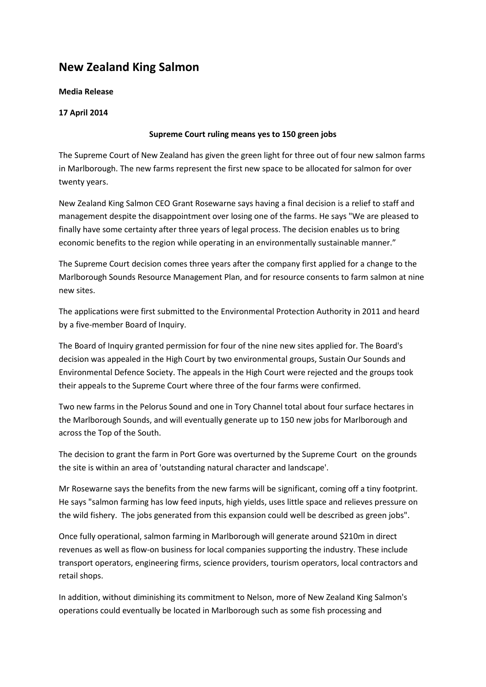# **New Zealand King Salmon**

### **Media Release**

# **17 April 2014**

# **Supreme Court ruling means yes to 150 green jobs**

The Supreme Court of New Zealand has given the green light for three out of four new salmon farms in Marlborough. The new farms represent the first new space to be allocated for salmon for over twenty years.

New Zealand King Salmon CEO Grant Rosewarne says having a final decision is a relief to staff and management despite the disappointment over losing one of the farms. He says "We are pleased to finally have some certainty after three years of legal process. The decision enables us to bring economic benefits to the region while operating in an environmentally sustainable manner."

The Supreme Court decision comes three years after the company first applied for a change to the Marlborough Sounds Resource Management Plan, and for resource consents to farm salmon at nine new sites.

The applications were first submitted to the Environmental Protection Authority in 2011 and heard by a five-member Board of Inquiry.

The Board of Inquiry granted permission for four of the nine new sites applied for. The Board's decision was appealed in the High Court by two environmental groups, Sustain Our Sounds and Environmental Defence Society. The appeals in the High Court were rejected and the groups took their appeals to the Supreme Court where three of the four farms were confirmed.

Two new farms in the Pelorus Sound and one in Tory Channel total about four surface hectares in the Marlborough Sounds, and will eventually generate up to 150 new jobs for Marlborough and across the Top of the South.

The decision to grant the farm in Port Gore was overturned by the Supreme Court on the grounds the site is within an area of 'outstanding natural character and landscape'.

Mr Rosewarne says the benefits from the new farms will be significant, coming off a tiny footprint. He says "salmon farming has low feed inputs, high yields, uses little space and relieves pressure on the wild fishery. The jobs generated from this expansion could well be described as green jobs".

Once fully operational, salmon farming in Marlborough will generate around \$210m in direct revenues as well as flow-on business for local companies supporting the industry. These include transport operators, engineering firms, science providers, tourism operators, local contractors and retail shops.

In addition, without diminishing its commitment to Nelson, more of New Zealand King Salmon's operations could eventually be located in Marlborough such as some fish processing and